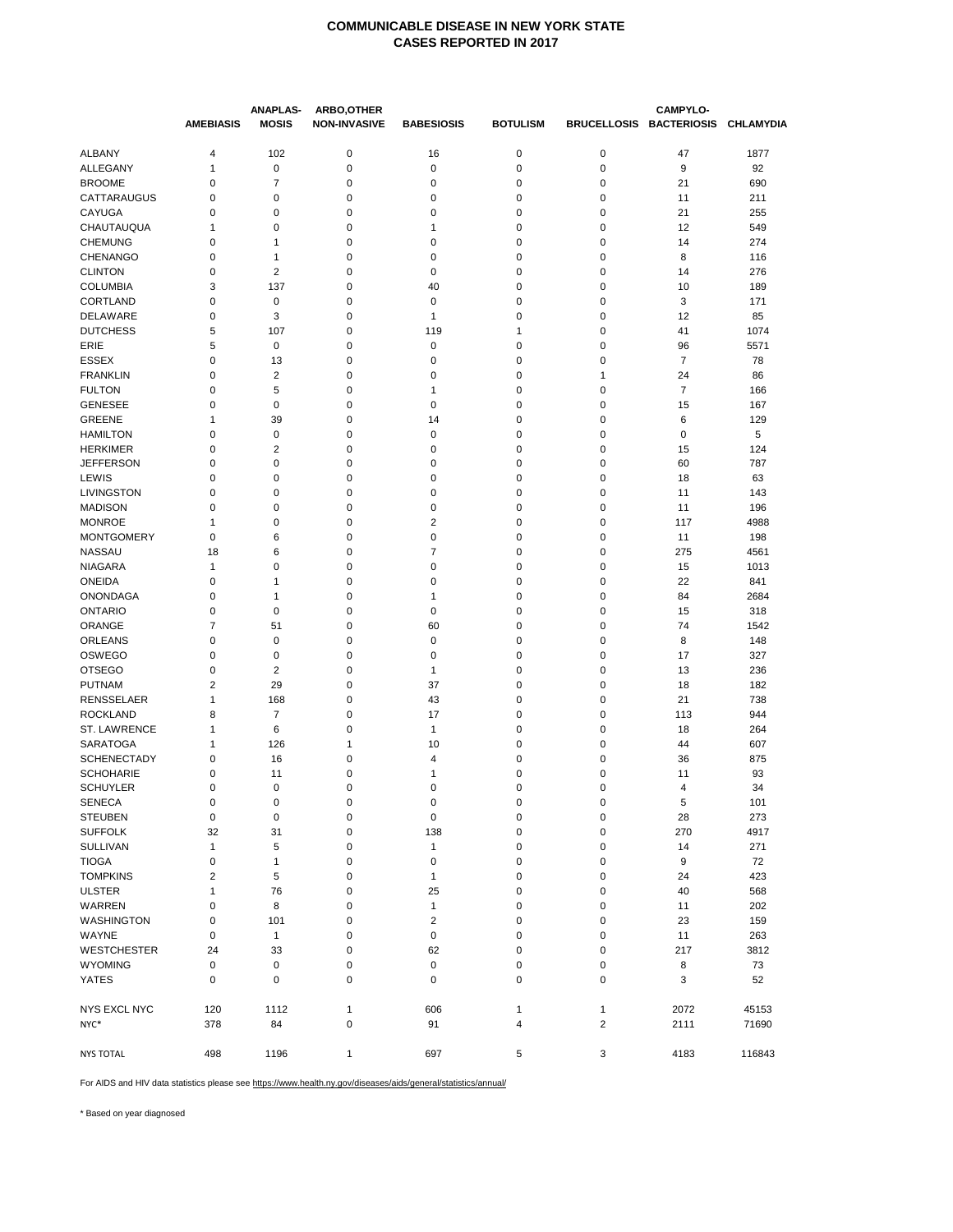|                    | <b>AMEBIASIS</b>        | <b>ANAPLAS-</b><br><b>MOSIS</b> | ARBO, OTHER<br><b>NON-INVASIVE</b> | <b>BABESIOSIS</b> | <b>BOTULISM</b> |                | <b>CAMPYLO-</b><br>BRUCELLOSIS BACTERIOSIS CHLAMYDIA |            |
|--------------------|-------------------------|---------------------------------|------------------------------------|-------------------|-----------------|----------------|------------------------------------------------------|------------|
| <b>ALBANY</b>      | 4                       | 102                             | $\mathbf 0$                        | 16                | $\mathbf 0$     | 0              | 47                                                   | 1877       |
| ALLEGANY           | 1                       | 0                               | $\pmb{0}$                          | 0                 | 0               | 0              | 9                                                    | 92         |
| <b>BROOME</b>      | 0                       | 7                               | $\pmb{0}$                          | 0                 | 0               | 0              | 21                                                   | 690        |
| CATTARAUGUS        | 0                       | 0                               | 0                                  | 0                 | 0               | 0              | 11                                                   | 211        |
| CAYUGA             | $\mathbf 0$             | 0                               | 0                                  | 0                 | 0               | 0              | 21                                                   | 255        |
| CHAUTAUQUA         | 1                       | 0                               | 0                                  | 1                 | 0               | 0              | 12                                                   | 549        |
| <b>CHEMUNG</b>     | 0                       | 1                               | $\pmb{0}$                          | 0                 | 0               | 0              | 14                                                   | 274        |
| <b>CHENANGO</b>    | 0                       | 1                               | $\mathbf 0$                        | 0                 | 0               | 0              | 8                                                    | 116        |
| <b>CLINTON</b>     | 0                       | 2                               | 0                                  | 0                 | 0               | 0              | 14                                                   | 276        |
| <b>COLUMBIA</b>    | 3                       | 137                             | 0                                  | 40                | 0               | 0              | 10                                                   | 189        |
| CORTLAND           | $\mathbf 0$             | 0                               | $\pmb{0}$                          | $\pmb{0}$         | 0               | 0              | 3                                                    | 171        |
| DELAWARE           | 0                       | 3                               | 0                                  | 1                 | 0               | 0              | 12                                                   | 85         |
| <b>DUTCHESS</b>    | 5                       | 107                             | $\pmb{0}$                          | 119               | $\mathbf{1}$    | 0              | 41                                                   | 1074       |
| ERIE               | 5                       | 0                               | $\pmb{0}$                          | $\mathbf 0$       | 0               | 0              | 96                                                   | 5571       |
| <b>ESSEX</b>       | 0                       | 13                              | 0                                  | 0                 | 0               | 0              | $\overline{7}$                                       | 78         |
| <b>FRANKLIN</b>    | 0                       | 2                               | 0                                  | 0                 | 0               | 1              | 24                                                   | 86         |
| <b>FULTON</b>      | $\mathbf 0$             | 5                               | 0                                  | 1                 | 0               | 0              | $\overline{7}$                                       | 166        |
| <b>GENESEE</b>     | 0                       | 0                               | $\pmb{0}$                          | 0                 | 0               | 0              | 15                                                   | 167        |
| <b>GREENE</b>      | 1                       | 39                              | 0                                  | 14                | 0               | 0              | 6                                                    | 129        |
| <b>HAMILTON</b>    | $\mathbf 0$             | 0                               | $\mathbf 0$                        | 0                 | 0               | 0              | $\mathbf 0$                                          | 5          |
| <b>HERKIMER</b>    | 0                       | 2                               | 0                                  | 0                 | 0               | 0              | 15                                                   | 124        |
| <b>JEFFERSON</b>   | 0                       | 0                               | 0                                  | 0                 | 0               | 0              | 60                                                   | 787        |
| LEWIS              | 0                       | 0                               | 0                                  | 0                 | 0               | 0              | 18                                                   | 63         |
| LIVINGSTON         | 0                       | 0                               | 0                                  | 0                 | 0               | 0              | 11                                                   | 143        |
| <b>MADISON</b>     | 0                       | 0                               | 0                                  | 0                 | 0               | 0              | 11                                                   | 196        |
| <b>MONROE</b>      | 1                       | 0                               | $\pmb{0}$                          | 2                 | 0               | 0              | 117                                                  | 4988       |
| <b>MONTGOMERY</b>  | $\mathbf 0$             | 6                               | $\mathbf 0$                        | 0                 | 0               | 0              | 11                                                   | 198        |
| <b>NASSAU</b>      | 18                      | 6                               | $\pmb{0}$                          | 7                 | 0               | 0              | 275                                                  | 4561       |
| <b>NIAGARA</b>     | 1                       | 0                               | 0                                  | 0                 | 0               | 0              | 15                                                   | 1013       |
| <b>ONEIDA</b>      | $\mathbf 0$             | 1                               | $\mathbf 0$                        | 0                 | 0               | 0              | 22                                                   | 841        |
| <b>ONONDAGA</b>    | 0                       | 1                               | 0                                  | 1                 | 0               | 0              | 84                                                   | 2684       |
| <b>ONTARIO</b>     | 0<br>$\overline{7}$     | 0                               | $\pmb{0}$                          | $\mathbf 0$       | 0               | 0              | 15                                                   | 318        |
| ORANGE<br>ORLEANS  | 0                       | 51                              | $\mathbf 0$                        | 60                | $\mathbf 0$     | 0              | 74                                                   | 1542       |
| <b>OSWEGO</b>      | 0                       | 0                               | 0<br>0                             | 0<br>0            | 0<br>0          | 0<br>0         | 8<br>17                                              | 148<br>327 |
| <b>OTSEGO</b>      | $\mathbf 0$             | 0<br>2                          | 0                                  | 1                 | 0               | 0              | 13                                                   | 236        |
| <b>PUTNAM</b>      | $\overline{2}$          | 29                              | $\pmb{0}$                          | 37                | 0               | 0              | 18                                                   | 182        |
| <b>RENSSELAER</b>  | 1                       | 168                             | 0                                  | 43                | 0               | 0              | 21                                                   | 738        |
| <b>ROCKLAND</b>    | 8                       | $\overline{7}$                  | $\mathbf 0$                        | 17                | 0               | 0              | 113                                                  | 944        |
| ST. LAWRENCE       | 1                       | 6                               | $\pmb{0}$                          | 1                 | 0               | 0              | 18                                                   | 264        |
| <b>SARATOGA</b>    | 1                       | 126                             | 1                                  | 10                | 0               | 0              | 44                                                   | 607        |
| <b>SCHENECTADY</b> | $\mathbf 0$             | 16                              | $\mathbf 0$                        | 4                 | 0               | 0              | 36                                                   | 875        |
| <b>SCHOHARIE</b>   | 0                       | 11                              | 0                                  | 1                 | 0               | 0              | 11                                                   | 93         |
| <b>SCHUYLER</b>    | 0                       | 0                               | 0                                  | 0                 | 0               | 0              | 4                                                    | 34         |
| SENECA             | 0                       | 0                               | 0                                  | 0                 | 0               | 0              | 5                                                    | 101        |
| <b>STEUBEN</b>     | 0                       | 0                               | $\pmb{0}$                          | 0                 | $\pmb{0}$       | 0              | 28                                                   | 273        |
| <b>SUFFOLK</b>     | 32                      | 31                              | $\pmb{0}$                          | 138               | $\pmb{0}$       | 0              | 270                                                  | 4917       |
| SULLIVAN           | $\mathbf{1}$            | 5                               | 0                                  | $\mathbf{1}$      | 0               | 0              | 14                                                   | 271        |
| <b>TIOGA</b>       | 0                       | 1                               | $\pmb{0}$                          | 0                 | 0               | 0              | 9                                                    | 72         |
| <b>TOMPKINS</b>    | $\overline{\mathbf{c}}$ | 5                               | $\pmb{0}$                          | $\mathbf{1}$      | 0               | 0              | 24                                                   | 423        |
| <b>ULSTER</b>      | $\mathbf{1}$            | 76                              | $\pmb{0}$                          | 25                | 0               | 0              | 40                                                   | 568        |
| WARREN             | 0                       | 8                               | $\pmb{0}$                          | $\mathbf{1}$      | $\pmb{0}$       | 0              | 11                                                   | 202        |
| <b>WASHINGTON</b>  | 0                       | 101                             | $\pmb{0}$                          | 2                 | $\pmb{0}$       | 0              | 23                                                   | 159        |
| WAYNE              | 0                       | $\mathbf{1}$                    | $\pmb{0}$                          | 0                 | $\mathbf 0$     | 0              | 11                                                   | 263        |
| <b>WESTCHESTER</b> | 24                      | 33                              | $\pmb{0}$                          | 62                | $\pmb{0}$       | 0              | 217                                                  | 3812       |
| <b>WYOMING</b>     | $\pmb{0}$               | 0                               | $\mathbf 0$                        | 0                 | $\pmb{0}$       | 0              | 8                                                    | 73         |
| <b>YATES</b>       | $\pmb{0}$               | 0                               | $\pmb{0}$                          | 0                 | $\mathbf 0$     | 0              | 3                                                    | 52         |
| NYS EXCL NYC       | 120                     | 1112                            | $\mathbf{1}$                       | 606               | $\mathbf{1}$    | $\mathbf{1}$   | 2072                                                 | 45153      |
| NYC*               | 378                     | 84                              | $\mathbf 0$                        | 91                | $\overline{4}$  | $\overline{2}$ | 2111                                                 | 71690      |
| <b>NYS TOTAL</b>   | 498                     | 1196                            | $\mathbf{1}$                       | 697               | 5               | 3              | 4183                                                 | 116843     |

For AIDS and HIV data statistics please see https://www.health.ny.gov/diseases/aids/general/statistics/annual/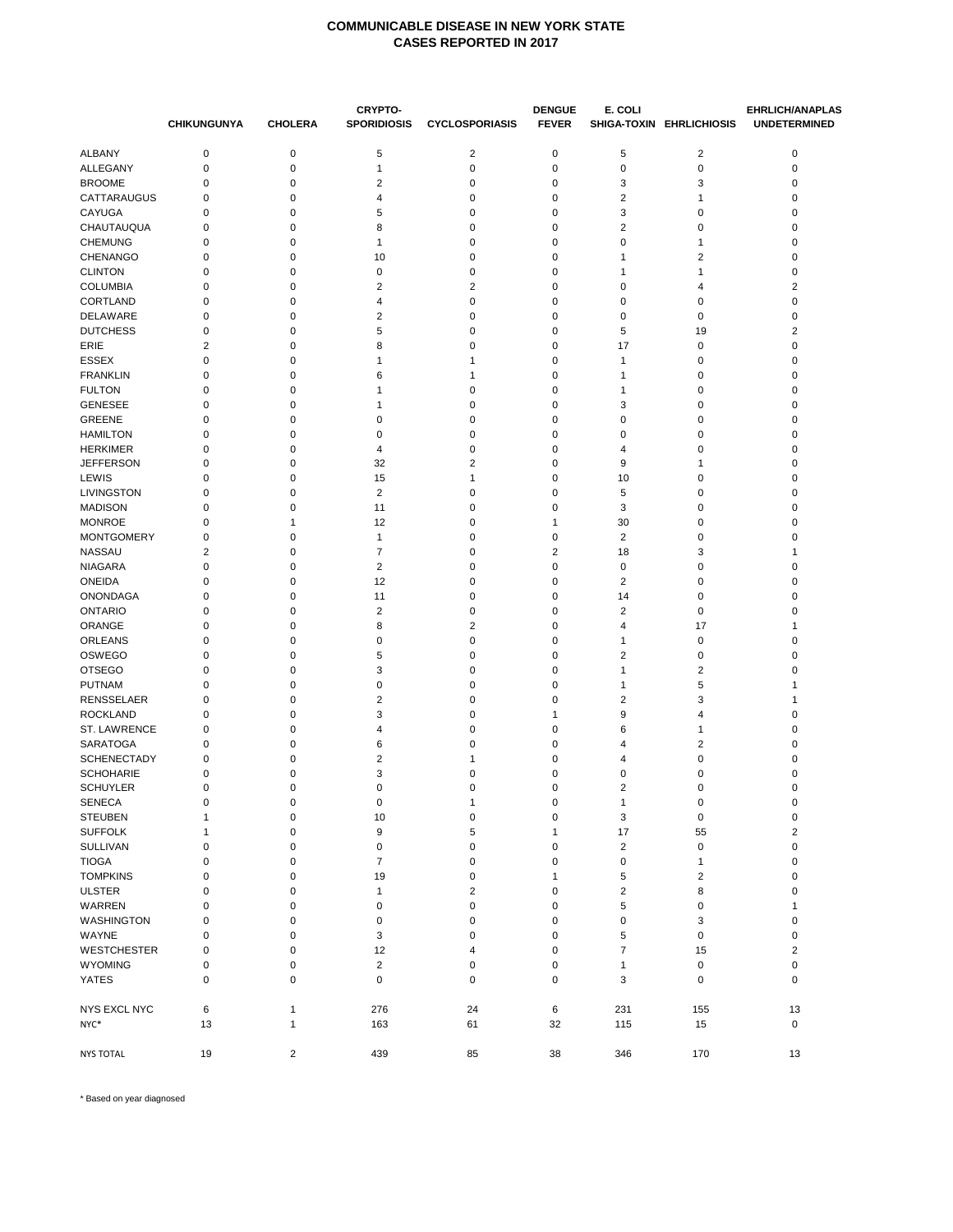|                    | <b>CHIKUNGUNYA</b>      | <b>CHOLERA</b>          | <b>CRYPTO-</b><br><b>SPORIDIOSIS</b> | <b>CYCLOSPORIASIS</b>   | <b>DENGUE</b><br><b>FEVER</b> | E. COLI        | SHIGA-TOXIN EHRLICHIOSIS | <b>EHRLICH/ANAPLAS</b><br><b>UNDETERMINED</b> |
|--------------------|-------------------------|-------------------------|--------------------------------------|-------------------------|-------------------------------|----------------|--------------------------|-----------------------------------------------|
| ALBANY             | 0                       | 0                       | 5                                    | $\overline{\mathbf{c}}$ | 0                             | 5              | $\overline{2}$           | $\pmb{0}$                                     |
| ALLEGANY           | $\mathbf 0$             | 0                       | $\mathbf{1}$                         | $\pmb{0}$               | $\mathbf 0$                   | $\mathbf 0$    | 0                        | $\mathbf 0$                                   |
| <b>BROOME</b>      | 0                       | 0                       | 2                                    | 0                       | 0                             | 3              | 3                        | 0                                             |
| <b>CATTARAUGUS</b> | 0                       | 0                       | 4                                    | 0                       | 0                             | $\overline{2}$ | 1                        | $\pmb{0}$                                     |
| <b>CAYUGA</b>      | $\mathbf 0$             | 0                       | 5                                    | 0                       | $\mathbf 0$                   | 3              | 0                        | 0                                             |
| CHAUTAUQUA         | 0                       | 0                       | 8                                    | 0                       | 0                             | $\overline{2}$ | 0                        | 0                                             |
| <b>CHEMUNG</b>     | 0                       | 0                       | $\mathbf 1$                          | 0                       | 0                             | $\mathbf 0$    | 1                        | 0                                             |
| <b>CHENANGO</b>    | 0                       | 0                       | 10                                   | 0                       | 0                             | $\mathbf{1}$   | 2                        | 0                                             |
| <b>CLINTON</b>     | 0                       | 0                       | 0                                    | 0                       | 0                             | $\mathbf{1}$   | 1                        | 0                                             |
| <b>COLUMBIA</b>    | 0                       | 0                       | 2                                    | 2                       | 0                             | $\mathbf 0$    | 4                        | $\overline{2}$                                |
| <b>CORTLAND</b>    | 0                       | 0                       | 4                                    | 0                       | 0                             | $\mathbf 0$    | 0                        | $\pmb{0}$                                     |
| <b>DELAWARE</b>    | 0                       | 0                       | 2                                    | 0                       | 0                             | 0              | 0                        | 0                                             |
| <b>DUTCHESS</b>    | 0                       | 0                       | 5                                    | 0                       | 0                             | 5              | 19                       | $\overline{\mathbf{c}}$                       |
| ERIE               | $\overline{2}$          | 0                       | 8                                    | 0                       | 0                             | 17             | 0                        | 0                                             |
| <b>ESSEX</b>       | 0                       | 0                       | 1                                    | 1                       | 0                             | $\mathbf{1}$   | 0                        | 0                                             |
| <b>FRANKLIN</b>    | 0                       | 0                       | 6                                    | 1                       | 0                             | $\mathbf{1}$   | 0                        | 0                                             |
| <b>FULTON</b>      | 0                       | 0                       | 1                                    | 0                       | 0                             | 1              | 0                        | 0                                             |
| <b>GENESEE</b>     | 0                       | 0                       | 1                                    | 0                       | 0                             | 3              | 0                        | 0                                             |
| <b>GREENE</b>      | 0                       | 0                       | 0                                    | 0                       | 0                             | 0              | 0                        | 0                                             |
| <b>HAMILTON</b>    | 0                       | 0                       | 0                                    | 0                       | 0                             | 0              | 0                        | 0                                             |
| <b>HERKIMER</b>    | 0                       | 0                       | 4                                    | 0                       | 0                             | $\overline{4}$ | 0                        | 0                                             |
| <b>JEFFERSON</b>   | 0                       | 0                       | 32                                   | 2                       | 0                             | 9              | 1                        | 0                                             |
| LEWIS              | 0                       | 0                       | 15                                   | 1                       | 0                             | 10             | 0                        | $\pmb{0}$                                     |
| LIVINGSTON         | 0                       | 0                       | $\overline{2}$                       | 0                       | 0                             | 5              | 0                        | 0                                             |
| <b>MADISON</b>     | 0                       | 0                       | 11                                   | 0                       | 0                             | 3              | 0                        | 0                                             |
| <b>MONROE</b>      | 0                       | 1                       | 12                                   | 0                       | 1                             | 30             | 0                        | 0                                             |
| <b>MONTGOMERY</b>  | 0                       | 0                       | $\mathbf{1}$                         | 0                       | 0                             | $\overline{2}$ | 0                        | $\pmb{0}$                                     |
| <b>NASSAU</b>      | $\overline{\mathbf{c}}$ | 0                       | $\overline{7}$                       | 0                       | $\overline{2}$                | 18             | 3                        | 1                                             |
| <b>NIAGARA</b>     | 0                       | 0                       | $\overline{2}$                       | 0                       | 0                             | $\mathbf 0$    | 0                        | $\pmb{0}$                                     |
| <b>ONEIDA</b>      | 0                       | 0                       | 12                                   | 0                       | 0                             | $\overline{2}$ | 0                        | $\pmb{0}$                                     |
| <b>ONONDAGA</b>    | 0                       | 0                       | 11                                   | 0                       | 0                             | 14             | 0                        | 0                                             |
| <b>ONTARIO</b>     | 0                       | 0                       | $\overline{2}$                       | 0                       | 0                             | $\overline{2}$ | 0                        | $\pmb{0}$                                     |
| ORANGE             | 0                       | 0                       | 8                                    | 2                       | 0                             | 4              | 17                       | 1                                             |
| ORLEANS            | 0                       | 0                       | 0                                    | 0                       | 0                             | $\mathbf{1}$   | 0                        | 0                                             |
| OSWEGO             | 0                       | 0                       | 5                                    | 0                       | 0                             | $\overline{2}$ | 0                        | $\pmb{0}$                                     |
| <b>OTSEGO</b>      | 0                       | 0                       | 3                                    | 0                       | 0                             | 1              | 2                        | 0                                             |
| <b>PUTNAM</b>      | 0                       | 0                       | 0                                    | 0                       | 0                             | $\mathbf{1}$   | 5                        | 1                                             |
| <b>RENSSELAER</b>  | 0                       | 0                       | $\overline{2}$                       | 0                       | 0                             | $\overline{2}$ | 3                        | 1                                             |
| <b>ROCKLAND</b>    | 0                       | 0                       | 3                                    | 0                       | $\mathbf{1}$                  | 9              | 4                        | 0                                             |
| ST. LAWRENCE       | 0                       | 0                       | 4                                    | 0                       | 0                             | 6              | 1                        | 0                                             |
| <b>SARATOGA</b>    | 0                       | 0                       | 6                                    | 0                       | 0                             | 4              | 2                        | 0                                             |
| <b>SCHENECTADY</b> | 0                       | 0                       | $\overline{2}$                       | 1                       | 0                             | 4              | 0                        | 0                                             |
| <b>SCHOHARIE</b>   | 0                       | 0                       | 3                                    | 0                       | 0                             | $\mathbf 0$    | 0                        | 0                                             |
| <b>SCHUYLER</b>    | 0                       | 0                       | $\mathbf 0$                          | 0                       | 0                             | 2              | 0                        | $\mathbf 0$                                   |
| <b>SENECA</b>      | $\pmb{0}$               | $\pmb{0}$               | $\pmb{0}$                            | $\mathbf{1}$            | 0                             | $\mathbf{1}$   | $\mathbf 0$              | 0                                             |
| <b>STEUBEN</b>     | $\mathbf{1}$            | 0                       | 10                                   | $\pmb{0}$               | $\pmb{0}$                     | $\mathsf 3$    | $\mathbf 0$              | $\pmb{0}$                                     |
| <b>SUFFOLK</b>     | $\mathbf{1}$            | 0                       | 9                                    | 5                       | $\mathbf{1}$                  | 17             | 55                       | $\overline{c}$                                |
| SULLIVAN           | $\mathbf 0$             | 0                       | $\mathbf 0$                          | 0                       | $\mathbf 0$                   | $\overline{c}$ | $\mathbf 0$              | 0                                             |
| <b>TIOGA</b>       | $\mathbf 0$             | 0                       | $\overline{7}$                       | 0                       | $\mathbf 0$                   | $\mathbf 0$    | 1                        | $\pmb{0}$                                     |
| <b>TOMPKINS</b>    | 0                       | 0                       | 19                                   | 0                       | $\mathbf{1}$                  | 5              | 2                        | $\pmb{0}$                                     |
| <b>ULSTER</b>      | 0                       | 0                       | $\mathbf{1}$                         | $\overline{2}$          | 0                             | $\overline{2}$ | 8                        | 0                                             |
| WARREN             | $\mathbf 0$             | 0                       | $\mathbf 0$                          | $\pmb{0}$               | $\mathbf 0$                   | $\sqrt{5}$     | $\mathbf 0$              | 1                                             |
| WASHINGTON         | 0                       | 0                       | $\mathbf 0$                          | 0                       | 0                             | $\mathbf 0$    | 3                        | $\pmb{0}$                                     |
| WAYNE              | 0                       | 0                       | 3                                    | 0                       | 0                             | 5              | $\mathbf 0$              | 0                                             |
| <b>WESTCHESTER</b> | $\mathbf 0$             | 0                       | 12                                   | 4                       | $\mathbf 0$                   | $\overline{7}$ | 15                       | $\overline{2}$                                |
| <b>WYOMING</b>     | 0                       | 0                       | $\overline{c}$                       | 0                       | 0                             | $\mathbf{1}$   | $\mathbf 0$              | $\pmb{0}$                                     |
| <b>YATES</b>       | $\mathbf 0$             | 0                       | $\pmb{0}$                            | $\pmb{0}$               | $\pmb{0}$                     | 3              | $\mathbf 0$              | 0                                             |
| NYS EXCL NYC       | 6                       | 1                       | 276                                  | 24                      | 6                             | 231            | 155                      | 13                                            |
| NYC*               | 13                      | 1                       | 163                                  | 61                      | 32                            | 115            | 15                       | 0                                             |
| <b>NYS TOTAL</b>   | 19                      | $\overline{\mathbf{c}}$ | 439                                  | 85                      | 38                            | 346            | 170                      | 13                                            |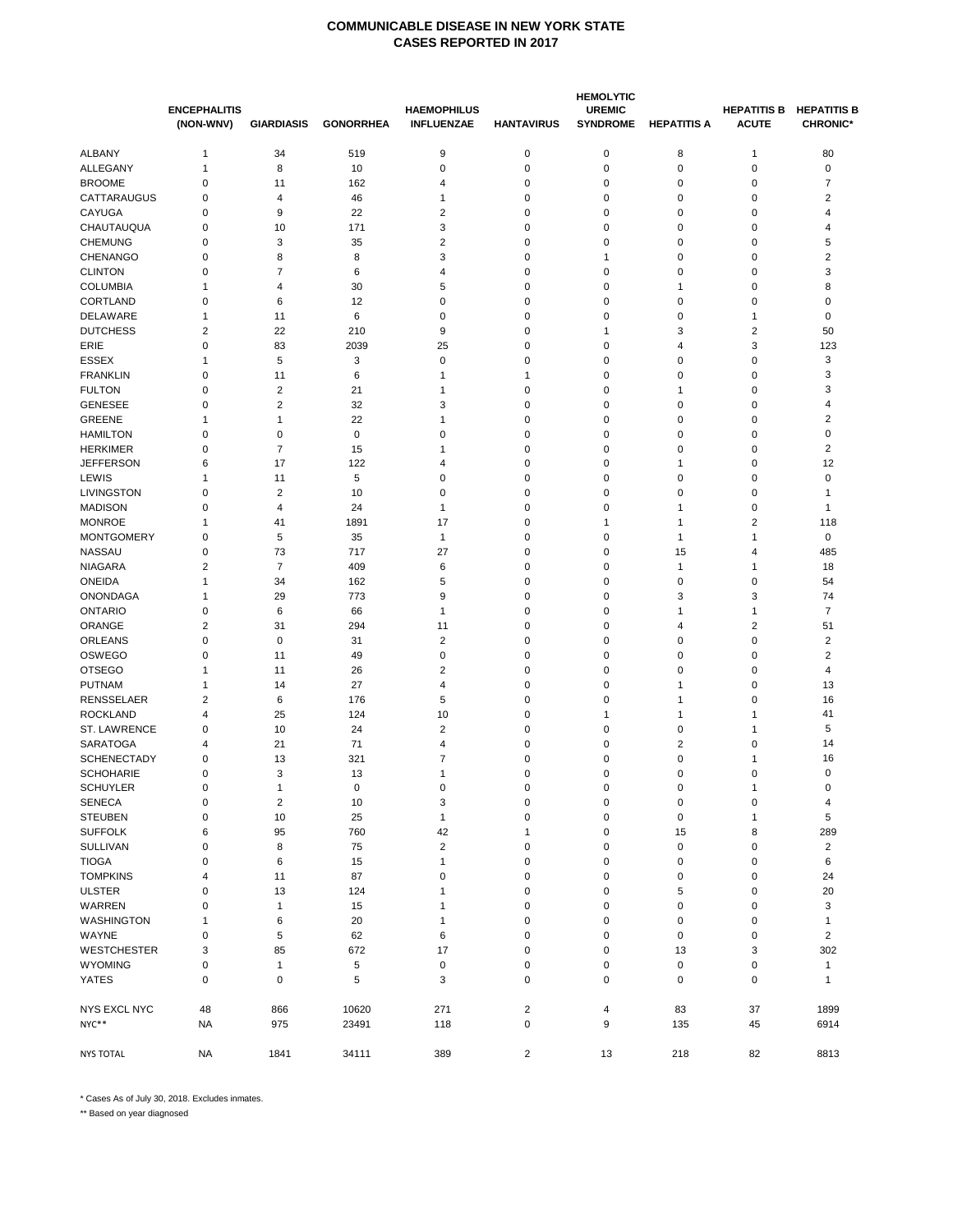|                                   |                                  | <b>HEMOLYTIC</b>        |                  |                                         |                         |                                  |                         |                                    |                                       |  |  |
|-----------------------------------|----------------------------------|-------------------------|------------------|-----------------------------------------|-------------------------|----------------------------------|-------------------------|------------------------------------|---------------------------------------|--|--|
|                                   | <b>ENCEPHALITIS</b><br>(NON-WNV) | <b>GIARDIASIS</b>       | <b>GONORRHEA</b> | <b>HAEMOPHILUS</b><br><b>INFLUENZAE</b> | <b>HANTAVIRUS</b>       | <b>UREMIC</b><br><b>SYNDROME</b> | <b>HEPATITIS A</b>      | <b>HEPATITIS B</b><br><b>ACUTE</b> | <b>HEPATITIS B</b><br><b>CHRONIC*</b> |  |  |
| <b>ALBANY</b>                     | $\mathbf{1}$                     | 34                      | 519              | 9                                       | 0                       | $\pmb{0}$                        | 8                       | $\mathbf{1}$                       | 80                                    |  |  |
| ALLEGANY                          | $\mathbf{1}$                     | 8                       | 10               | 0                                       | $\mathbf 0$             | 0                                | 0                       | $\mathbf 0$                        | 0                                     |  |  |
| <b>BROOME</b>                     | 0                                | 11                      | 162              | 4                                       | 0                       | 0                                | 0                       | 0                                  | 7                                     |  |  |
| CATTARAUGUS                       | 0                                | 4                       | 46               | 1                                       | 0                       | 0                                | 0                       | 0                                  | 2                                     |  |  |
| CAYUGA                            | 0                                | 9                       | 22               | $\overline{\mathbf{c}}$                 | 0                       | 0                                | 0                       | 0                                  | 4                                     |  |  |
| CHAUTAUQUA                        | 0                                | 10                      | 171              | 3                                       | 0                       | 0                                | 0                       | $\mathbf 0$                        | 4                                     |  |  |
| <b>CHEMUNG</b>                    | 0                                | 3                       | 35               | 2                                       | 0                       | 0                                | 0                       | 0                                  | 5                                     |  |  |
| CHENANGO                          | 0                                | 8                       | 8                | 3                                       | 0                       | 1                                | 0                       | 0                                  | $\overline{\mathbf{c}}$               |  |  |
| <b>CLINTON</b>                    | 0                                | 7                       | 6                | 4                                       | $\mathbf 0$             | 0                                | 0                       | $\mathbf 0$                        | 3                                     |  |  |
| <b>COLUMBIA</b>                   | $\mathbf{1}$                     | 4                       | 30               | 5                                       | 0                       | 0                                | 1                       | $\mathbf 0$                        | 8                                     |  |  |
| CORTLAND                          | 0                                | 6                       | 12               | 0                                       | 0                       | 0                                | 0                       | 0                                  | 0                                     |  |  |
| DELAWARE                          | 1                                | 11                      | 6                | 0                                       | 0                       | 0                                | 0                       | 1                                  | $\mathbf 0$                           |  |  |
| <b>DUTCHESS</b>                   | $\overline{2}$                   | 22                      | 210              | 9                                       | 0                       | $\mathbf{1}$                     | 3                       | $\overline{\mathbf{c}}$            | 50                                    |  |  |
| ERIE                              | 0                                | 83                      | 2039             | 25                                      | 0                       | 0                                | 4                       | 3                                  | 123                                   |  |  |
| <b>ESSEX</b>                      | 1                                | 5                       | 3                | $\mathbf 0$                             | 0                       | 0                                | 0                       | $\mathbf 0$                        | 3                                     |  |  |
| <b>FRANKLIN</b>                   | 0                                | 11                      | 6                | 1                                       | 1                       | 0                                | 0                       | $\mathbf 0$                        | 3                                     |  |  |
| <b>FULTON</b>                     | 0                                | 2                       | 21               | 1                                       | 0                       | 0                                | 1                       | 0                                  | 3                                     |  |  |
| <b>GENESEE</b>                    | $\mathbf 0$                      | 2                       | 32               | 3                                       | 0                       | 0                                | 0                       | $\mathbf 0$                        | $\overline{4}$                        |  |  |
| <b>GREENE</b>                     | $\mathbf{1}$                     | $\mathbf{1}$            | 22               | 1                                       | 0                       | 0                                | $\mathbf 0$             | $\mathbf 0$                        | $\overline{\mathbf{c}}$               |  |  |
| <b>HAMILTON</b>                   | 0                                | 0                       | $\mathbf 0$      | 0                                       | 0                       | 0                                | 0                       | 0                                  | 0                                     |  |  |
| <b>HERKIMER</b>                   | 0                                | 7                       | 15               | 1                                       | $\mathbf 0$             | 0                                | 0                       | $\mathbf 0$                        | 2                                     |  |  |
| <b>JEFFERSON</b>                  | 6                                | 17                      | 122              | 4                                       | $\mathbf 0$             | 0                                | 1                       | $\mathbf 0$                        | 12                                    |  |  |
| LEWIS                             | 1                                | 11                      | 5                | 0                                       | 0                       | 0                                | 0                       | $\mathbf 0$                        | 0                                     |  |  |
| <b>LIVINGSTON</b>                 | $\mathbf 0$                      | 2                       | 10               | 0                                       | 0                       | 0                                | 0                       | $\mathbf 0$                        | $\mathbf{1}$                          |  |  |
| <b>MADISON</b>                    | 0                                | 4                       | 24               | 1                                       | 0                       | 0                                | 1                       | $\mathbf 0$                        | $\mathbf{1}$                          |  |  |
| <b>MONROE</b>                     | 1                                | 41                      | 1891             | 17                                      | 0                       | 1                                | 1                       | $\overline{2}$                     | 118                                   |  |  |
| <b>MONTGOMERY</b>                 | 0                                | 5                       | 35               | $\mathbf{1}$                            | $\mathbf 0$             | 0                                | 1                       | 1                                  | 0                                     |  |  |
| <b>NASSAU</b>                     | 0                                | 73                      | 717              | 27                                      | 0                       | 0                                | 15                      | 4                                  | 485                                   |  |  |
| <b>NIAGARA</b><br><b>ONEIDA</b>   | $\overline{\mathbf{c}}$<br>1     | 7<br>34                 | 409<br>162       | 6<br>5                                  | 0<br>0                  | 0<br>0                           | 1<br>0                  | 1<br>$\pmb{0}$                     | 18                                    |  |  |
|                                   | $\mathbf{1}$                     |                         |                  | 9                                       |                         | $\mathbf 0$                      | 3                       | 3                                  | 54<br>74                              |  |  |
| <b>ONONDAGA</b><br><b>ONTARIO</b> | 0                                | 29                      | 773              | $\mathbf{1}$                            | 0<br>0                  | 0                                |                         |                                    | $\overline{7}$                        |  |  |
| ORANGE                            | $\overline{\mathbf{c}}$          | 6<br>31                 | 66<br>294        | 11                                      | 0                       | 0                                | 1<br>4                  | $\mathbf{1}$<br>$\overline{2}$     | 51                                    |  |  |
| <b>ORLEANS</b>                    | $\mathbf 0$                      | $\mathbf 0$             | 31               | $\overline{2}$                          | $\mathbf 0$             | 0                                | 0                       | $\mathbf 0$                        | $\overline{2}$                        |  |  |
| OSWEGO                            | 0                                | 11                      | 49               | 0                                       | 0                       | 0                                | 0                       | $\mathbf 0$                        | $\overline{2}$                        |  |  |
| <b>OTSEGO</b>                     | 1                                | 11                      | 26               | 2                                       | 0                       | 0                                | 0                       | 0                                  | 4                                     |  |  |
| <b>PUTNAM</b>                     | 1                                | 14                      | 27               | 4                                       | $\mathbf 0$             | 0                                | 1                       | $\mathbf 0$                        | 13                                    |  |  |
| <b>RENSSELAER</b>                 | 2                                | 6                       | 176              | 5                                       | 0                       | 0                                | 1                       | 0                                  | 16                                    |  |  |
| <b>ROCKLAND</b>                   | 4                                | 25                      | 124              | 10                                      | 0                       | 1                                | 1                       | 1                                  | 41                                    |  |  |
| ST. LAWRENCE                      | 0                                | 10                      | 24               | $\overline{2}$                          | $\mathbf 0$             | 0                                | 0                       | 1                                  | 5                                     |  |  |
| <b>SARATOGA</b>                   | 4                                | 21                      | 71               | 4                                       | 0                       | 0                                | $\overline{\mathbf{c}}$ | 0                                  | 14                                    |  |  |
| <b>SCHENECTADY</b>                | 0                                | 13                      | 321              | 7                                       | 0                       | 0                                | 0                       | 1                                  | 16                                    |  |  |
| <b>SCHOHARIE</b>                  | $\mathbf 0$                      | 3                       | 13               | 1                                       | 0                       | 0                                | 0                       | $\mathbf 0$                        | $\mathbf 0$                           |  |  |
| SCHUYLER                          | $\pmb{0}$                        | 1                       | $\pmb{0}$        | 0                                       | 0                       | 0                                | 0                       |                                    | $\pmb{0}$                             |  |  |
| <b>SENECA</b>                     | 0                                | $\overline{\mathbf{c}}$ | 10               | 3                                       | $\pmb{0}$               | 0                                | 0                       | 0                                  | 4                                     |  |  |
| <b>STEUBEN</b>                    | $\pmb{0}$                        | 10                      | 25               | $\mathbf{1}$                            | $\pmb{0}$               | 0                                | 0                       | $\mathbf{1}$                       | 5                                     |  |  |
| <b>SUFFOLK</b>                    | 6                                | 95                      | 760              | 42                                      | $\mathbf{1}$            | $\pmb{0}$                        | 15                      | 8                                  | 289                                   |  |  |
| SULLIVAN                          | 0                                | 8                       | 75               | $\overline{\mathbf{c}}$                 | $\pmb{0}$               | 0                                | 0                       | $\pmb{0}$                          | $\sqrt{2}$                            |  |  |
| <b>TIOGA</b>                      | 0                                | 6                       | 15               | $\mathbf{1}$                            | 0                       | 0                                | 0                       | 0                                  | 6                                     |  |  |
| <b>TOMPKINS</b>                   | 4                                | 11                      | 87               | 0                                       | 0                       | 0                                | 0                       | 0                                  | 24                                    |  |  |
| <b>ULSTER</b>                     | 0                                | 13                      | 124              | 1                                       | 0                       | 0                                | 5                       | 0                                  | 20                                    |  |  |
| WARREN                            | 0                                | $\mathbf{1}$            | 15               | 1                                       | 0                       | 0                                | 0                       | 0                                  | 3                                     |  |  |
| WASHINGTON                        | 1                                | 6                       | 20               | 1                                       | $\pmb{0}$               | $\pmb{0}$                        | 0                       | $\pmb{0}$                          | $\mathbf{1}$                          |  |  |
| WAYNE                             | 0                                | 5                       | 62               | 6                                       | $\pmb{0}$               | 0                                | 0                       | $\pmb{0}$                          | $\overline{\mathbf{c}}$               |  |  |
| <b>WESTCHESTER</b>                | 3                                | 85                      | 672              | 17                                      | 0                       | 0                                | 13                      | 3                                  | 302                                   |  |  |
| <b>WYOMING</b>                    | 0                                | $\mathbf{1}$            | 5                | $\pmb{0}$                               | 0                       | $\pmb{0}$                        | $\pmb{0}$               | $\pmb{0}$                          | $\mathbf{1}$                          |  |  |
| YATES                             | $\pmb{0}$                        | 0                       | 5                | 3                                       | 0                       | $\pmb{0}$                        | 0                       | $\mathbf 0$                        | $\mathbf{1}$                          |  |  |
| NYS EXCL NYC                      | 48                               | 866                     | 10620            | 271                                     | $\sqrt{2}$              | 4                                | 83                      | 37                                 | 1899                                  |  |  |
| NYC**                             | <b>NA</b>                        | 975                     | 23491            | 118                                     | $\pmb{0}$               | 9                                | 135                     | 45                                 | 6914                                  |  |  |
|                                   |                                  |                         |                  |                                         |                         |                                  |                         |                                    |                                       |  |  |
| <b>NYS TOTAL</b>                  | NA                               | 1841                    | 34111            | 389                                     | $\overline{\mathbf{c}}$ | 13                               | 218                     | 82                                 | 8813                                  |  |  |

\* Cases As of July 30, 2018. Excludes inmates.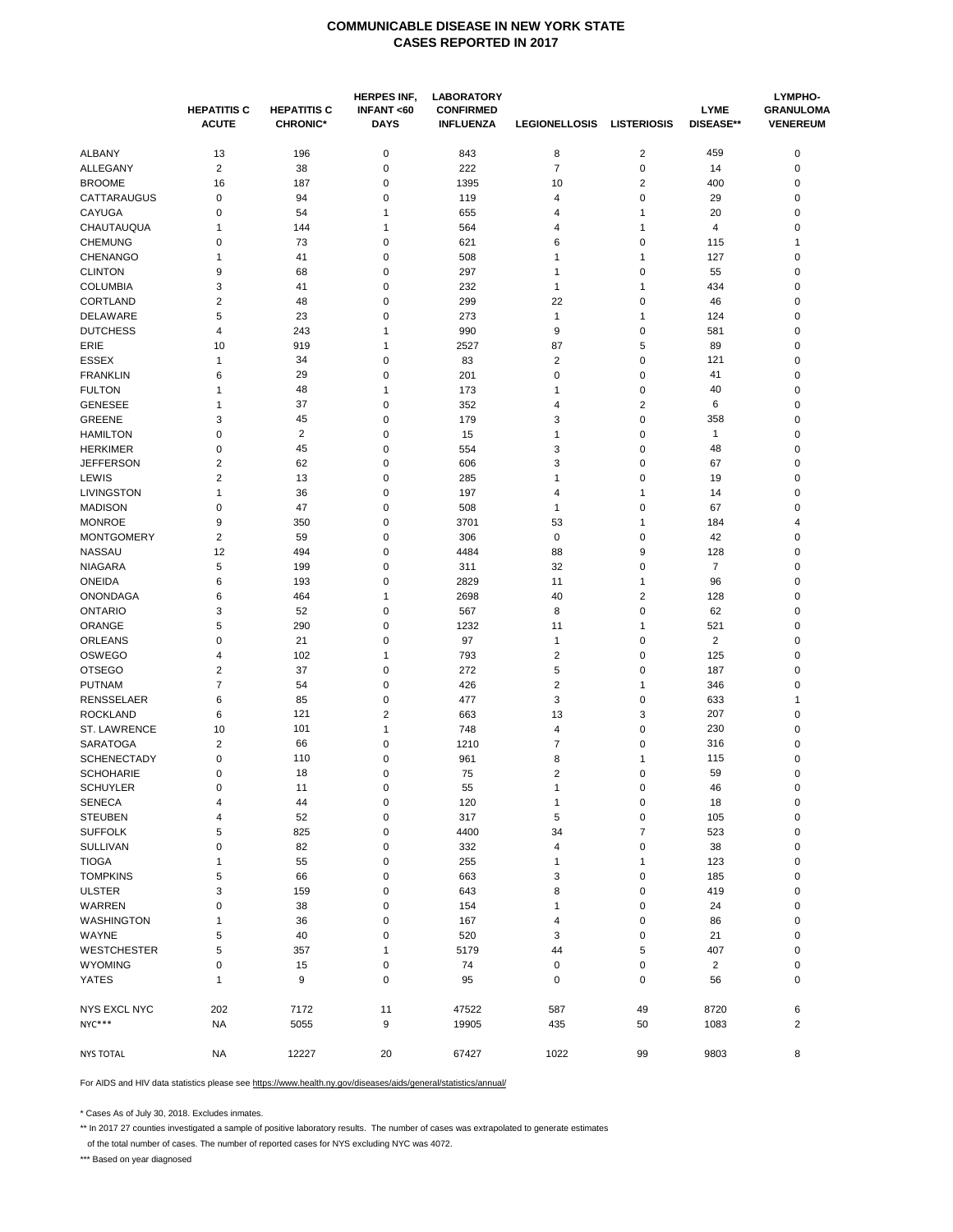|                     |                                    |                                       | <b>HERPES INF,</b>       | <b>LABORATORY</b>                    |                         |                    |                                 |                                     |  |
|---------------------|------------------------------------|---------------------------------------|--------------------------|--------------------------------------|-------------------------|--------------------|---------------------------------|-------------------------------------|--|
|                     | <b>HEPATITIS C</b><br><b>ACUTE</b> | <b>HEPATITIS C</b><br><b>CHRONIC*</b> | INFANT<60<br><b>DAYS</b> | <b>CONFIRMED</b><br><b>INFLUENZA</b> | <b>LEGIONELLOSIS</b>    | <b>LISTERIOSIS</b> | <b>LYME</b><br><b>DISEASE**</b> | <b>GRANULOMA</b><br><b>VENEREUM</b> |  |
| ALBANY              | 13                                 | 196                                   | 0                        | 843                                  | 8                       | $\overline{2}$     | 459                             | 0                                   |  |
| <b>ALLEGANY</b>     | $\overline{2}$                     | 38                                    | 0                        | 222                                  | $\overline{7}$          | $\pmb{0}$          | 14                              | 0                                   |  |
| <b>BROOME</b>       | 16                                 | 187                                   | 0                        | 1395                                 | 10                      | 2                  | 400                             | 0                                   |  |
| CATTARAUGUS         | 0                                  | 94                                    | 0                        | 119                                  | 4                       | $\pmb{0}$          | 29                              | 0                                   |  |
| CAYUGA              | 0                                  | 54                                    | 1                        | 655                                  | 4                       | 1                  | 20                              | 0                                   |  |
| CHAUTAUQUA          | 1                                  | 144                                   | 1                        | 564                                  | 4                       | 1                  | 4                               | 0                                   |  |
| <b>CHEMUNG</b>      | 0                                  | 73                                    | 0                        | 621                                  | 6                       | $\pmb{0}$          | 115                             | 1                                   |  |
| <b>CHENANGO</b>     | 1                                  | 41                                    | 0                        | 508                                  | $\mathbf{1}$            | 1                  | 127                             | 0                                   |  |
| <b>CLINTON</b>      | 9                                  | 68                                    | 0                        | 297                                  | $\mathbf{1}$            | $\pmb{0}$          | 55                              | 0                                   |  |
| <b>COLUMBIA</b>     | 3                                  | 41                                    | 0                        | 232                                  | $\mathbf{1}$            | 1                  | 434                             | 0                                   |  |
| CORTLAND            | 2                                  | 48                                    | 0                        | 299                                  | 22                      | $\pmb{0}$          | 46                              | 0                                   |  |
| DELAWARE            | 5                                  | 23                                    | 0                        | 273                                  | $\mathbf{1}$            | 1                  | 124                             | 0                                   |  |
| <b>DUTCHESS</b>     | 4                                  | 243                                   | 1                        | 990                                  | 9                       | $\pmb{0}$          | 581                             | 0                                   |  |
| ERIE                | 10                                 | 919                                   | 1                        | 2527                                 | 87                      | 5                  | 89                              | 0                                   |  |
| <b>ESSEX</b>        | 1                                  | 34                                    | 0                        | 83                                   | $\overline{2}$          | $\pmb{0}$          | 121                             | 0                                   |  |
| <b>FRANKLIN</b>     | 6                                  | 29                                    | 0                        | 201                                  | 0                       | $\pmb{0}$          | 41                              | 0                                   |  |
| <b>FULTON</b>       |                                    | 48                                    | 1                        | 173                                  | $\mathbf{1}$            | 0                  | 40                              | 0                                   |  |
| <b>GENESEE</b>      | 1                                  |                                       | 0                        |                                      |                         | $\overline{2}$     |                                 |                                     |  |
|                     | 1                                  | 37                                    |                          | 352                                  | 4                       |                    | 6                               | 0<br>0                              |  |
| <b>GREENE</b>       | 3                                  | 45                                    | 0                        | 179                                  | 3                       | $\pmb{0}$          | 358                             |                                     |  |
| <b>HAMILTON</b>     | 0                                  | $\sqrt{2}$                            | 0                        | 15                                   | $\mathbf{1}$            | 0                  | $\mathbf{1}$                    | 0                                   |  |
| <b>HERKIMER</b>     | 0                                  | 45                                    | 0                        | 554                                  | 3                       | $\pmb{0}$          | 48                              | 0                                   |  |
| <b>JEFFERSON</b>    | 2                                  | 62                                    | 0                        | 606                                  | 3                       | $\pmb{0}$          | 67                              | 0                                   |  |
| LEWIS               | $\overline{2}$                     | 13                                    | 0                        | 285                                  | $\mathbf{1}$            | $\pmb{0}$          | 19                              | 0                                   |  |
| LIVINGSTON          | 1                                  | 36                                    | 0                        | 197                                  | 4                       | 1                  | 14                              | 0                                   |  |
| <b>MADISON</b>      | 0                                  | 47                                    | 0                        | 508                                  | $\mathbf{1}$            | $\pmb{0}$          | 67                              | 0                                   |  |
| <b>MONROE</b>       | 9                                  | 350                                   | 0                        | 3701                                 | 53                      | $\mathbf{1}$       | 184                             | 4                                   |  |
| <b>MONTGOMERY</b>   | 2                                  | 59                                    | 0                        | 306                                  | 0                       | 0                  | 42                              | 0                                   |  |
| <b>NASSAU</b>       | 12                                 | 494                                   | 0                        | 4484                                 | 88                      | 9                  | 128                             | 0                                   |  |
| <b>NIAGARA</b>      | 5                                  | 199                                   | 0                        | 311                                  | 32                      | $\pmb{0}$          | $\overline{7}$                  | $\mathbf 0$                         |  |
| <b>ONEIDA</b>       | 6                                  | 193                                   | 0                        | 2829                                 | 11                      | 1                  | 96                              | 0                                   |  |
| <b>ONONDAGA</b>     | 6                                  | 464                                   | 1                        | 2698                                 | 40                      | $\overline{2}$     | 128                             | 0                                   |  |
| <b>ONTARIO</b>      | 3                                  | 52                                    | 0                        | 567                                  | 8                       | $\pmb{0}$          | 62                              | 0                                   |  |
| ORANGE              | 5                                  | 290                                   | 0                        | 1232                                 | 11                      | 1                  | 521                             | 0                                   |  |
| ORLEANS             | 0                                  | 21                                    | 0                        | 97                                   | $\mathbf{1}$            | $\pmb{0}$          | $\overline{\mathbf{c}}$         | 0                                   |  |
| <b>OSWEGO</b>       | 4                                  | 102                                   | 1                        | 793                                  | $\overline{\mathbf{c}}$ | $\pmb{0}$          | 125                             | 0                                   |  |
| <b>OTSEGO</b>       | 2                                  | 37                                    | 0                        | 272                                  | 5                       | $\pmb{0}$          | 187                             | 0                                   |  |
| <b>PUTNAM</b>       | $\overline{7}$                     | 54                                    | 0                        | 426                                  | 2                       | 1                  | 346                             | 0                                   |  |
| <b>RENSSELAER</b>   | 6                                  | 85                                    | 0                        | 477                                  | 3                       | $\pmb{0}$          | 633                             | 1                                   |  |
| <b>ROCKLAND</b>     | 6                                  | 121                                   | 2                        | 663                                  | 13                      | 3                  | 207                             | 0                                   |  |
| ST. LAWRENCE        | 10                                 | 101                                   | 1                        | 748                                  | 4                       | $\pmb{0}$          | 230                             | 0                                   |  |
| <b>SARATOGA</b>     | 2                                  | 66                                    | 0                        | 1210                                 | 7                       | $\pmb{0}$          | 316                             | 0                                   |  |
| <b>SCHENECTADY</b>  | 0                                  | 110                                   | 0                        | 961                                  | 8                       | 1                  | 115                             | 0                                   |  |
| <b>SCHOHARIE</b>    | 0                                  | 18                                    | 0                        | 75                                   | 2                       | $\pmb{0}$          | 59                              | 0                                   |  |
| <b>SCHUYLER</b>     | 0                                  | 11                                    | 0                        | 55                                   | 1                       | 0                  | 46                              | 0                                   |  |
| <b>SENECA</b>       | 4                                  | 44                                    | 0                        | 120                                  | $\mathbf{1}$            | $\pmb{0}$          | 18                              | 0                                   |  |
| <b>STEUBEN</b>      | 4                                  | 52                                    | 0                        | 317                                  | 5                       | $\pmb{0}$          | 105                             | 0                                   |  |
| <b>SUFFOLK</b>      | 5                                  | 825                                   | 0                        | 4400                                 | 34                      | 7                  | 523                             | 0                                   |  |
| SULLIVAN            | 0                                  | 82                                    | 0                        | 332                                  | 4                       | $\pmb{0}$          | 38                              | 0                                   |  |
| <b>TIOGA</b>        | 1                                  | 55                                    | 0                        | 255                                  | $\mathbf{1}$            | $\mathbf{1}$       | 123                             | 0                                   |  |
| <b>TOMPKINS</b>     | 5                                  | 66                                    | 0                        | 663                                  | 3                       | 0                  | 185                             | 0                                   |  |
| <b>ULSTER</b>       | 3                                  | 159                                   | 0                        | 643                                  | 8                       | $\pmb{0}$          | 419                             | 0                                   |  |
| WARREN              | 0                                  | 38                                    | 0                        | 154                                  | $\mathbf{1}$            | $\pmb{0}$          | 24                              | 0                                   |  |
| WASHINGTON          | 1                                  | 36                                    | 0                        | 167                                  | 4                       | $\pmb{0}$          | 86                              | 0                                   |  |
| WAYNE               | 5                                  | 40                                    | 0                        | 520                                  | 3                       | $\pmb{0}$          | 21                              | 0                                   |  |
| <b>WESTCHESTER</b>  | 5                                  | 357                                   | 1                        | 5179                                 | 44                      | 5                  | 407                             | 0                                   |  |
| <b>WYOMING</b>      | 0                                  | 15                                    | 0                        | 74                                   | 0                       | 0                  | $\overline{2}$                  | 0                                   |  |
| <b>YATES</b>        | 1                                  | 9                                     | 0                        | 95                                   | $\mathbf 0$             | 0                  | 56                              | 0                                   |  |
|                     |                                    |                                       |                          |                                      |                         |                    |                                 |                                     |  |
| <b>NYS EXCL NYC</b> | 202                                | 7172                                  | 11                       | 47522                                | 587                     | 49                 | 8720                            | 6                                   |  |
| NYC***              | <b>NA</b>                          | 5055                                  | 9                        | 19905                                | 435                     | 50                 | 1083                            | $\overline{\mathbf{c}}$             |  |
| <b>NYS TOTAL</b>    | <b>NA</b>                          | 12227                                 | 20                       | 67427                                | 1022                    | 99                 | 9803                            | 8                                   |  |

For AIDS and HIV data statistics please see https://www.health.ny.gov/diseases/aids/general/statistics/annual/

\* Cases As of July 30, 2018. Excludes inmates.

\*\* In 2017 27 counties investigated a sample of positive laboratory results. The number of cases was extrapolated to generate estimates

of the total number of cases. The number of reported cases for NYS excluding NYC was 4072.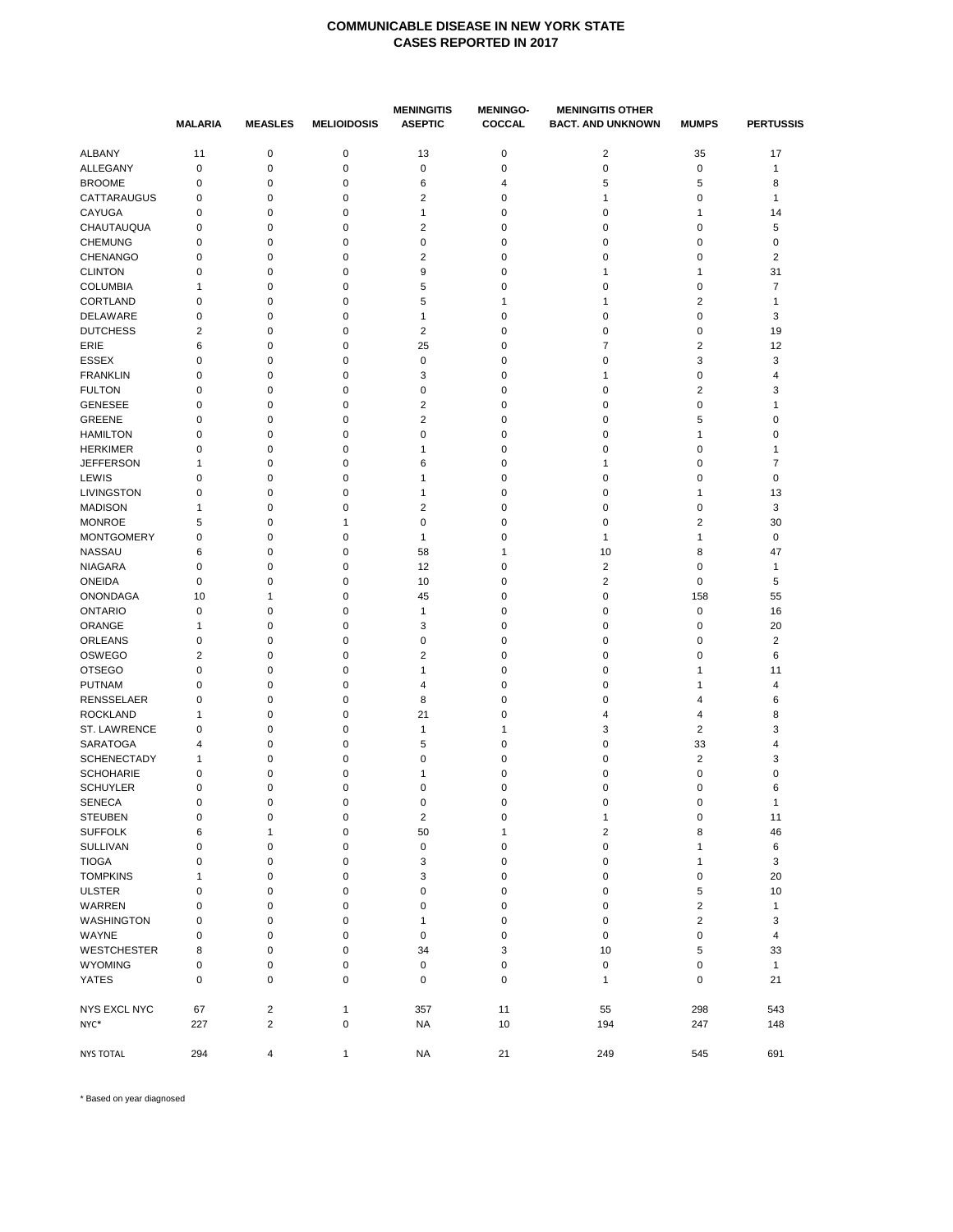|                     | <b>MALARIA</b> | <b>MEASLES</b>   | <b>MELIOIDOSIS</b> | <b>MENINGITIS</b><br><b>ASEPTIC</b> | <b>MENINGO-</b><br>COCCAL | <b>MENINGITIS OTHER</b><br><b>BACT. AND UNKNOWN</b> | <b>MUMPS</b>   | <b>PERTUSSIS</b>        |
|---------------------|----------------|------------------|--------------------|-------------------------------------|---------------------------|-----------------------------------------------------|----------------|-------------------------|
| ALBANY              | 11             | $\mathbf 0$      | $\mathbf 0$        | 13                                  | $\mathbf 0$               | $\overline{\mathbf{c}}$                             | 35             | 17                      |
| ALLEGANY            | $\pmb{0}$      | $\mathbf 0$      | $\pmb{0}$          | $\pmb{0}$                           | $\mathbf 0$               | $\pmb{0}$                                           | 0              | 1                       |
| <b>BROOME</b>       | 0              | $\pmb{0}$        | 0                  | 6                                   | 4                         | 5                                                   | 5              | 8                       |
| CATTARAUGUS         | $\mathbf 0$    | $\mathbf 0$      | 0                  | $\overline{\mathbf{c}}$             | 0                         | 1                                                   | 0              | 1                       |
| CAYUGA              | 0              | 0                | 0                  | $\mathbf{1}$                        | 0                         | 0                                                   | 1              | 14                      |
| CHAUTAUQUA          | $\mathbf 0$    | $\pmb{0}$        | $\mathbf 0$        | $\overline{2}$                      | $\pmb{0}$                 | 0                                                   | 0              | 5                       |
| <b>CHEMUNG</b>      | 0              | 0                | 0                  | $\mathbf 0$                         | 0                         | 0                                                   | 0              | $\mathbf 0$             |
| <b>CHENANGO</b>     | 0              | 0                | 0                  | $\overline{2}$                      | 0                         | 0                                                   | 0              | $\overline{2}$          |
| <b>CLINTON</b>      | 0              | $\pmb{0}$        | 0                  | 9                                   | $\pmb{0}$                 | 1                                                   | $\mathbf{1}$   | 31                      |
| <b>COLUMBIA</b>     | $\mathbf{1}$   | $\mathbf 0$      | 0                  | 5                                   | $\mathbf 0$               | 0                                                   | 0              | $\overline{7}$          |
| CORTLAND            | $\mathbf 0$    | 0                | 0                  | 5                                   | 1                         | 1                                                   | 2              | 1                       |
| DELAWARE            | 0              | $\pmb{0}$        | 0                  | $\mathbf{1}$                        | 0                         | 0                                                   | 0              | 3                       |
| <b>DUTCHESS</b>     | $\overline{2}$ | $\pmb{0}$        | 0                  | $\overline{2}$                      | $\pmb{0}$                 | 0                                                   | 0              | 19                      |
| ERIE                | 6              | 0                | 0                  | 25                                  | 0                         | $\overline{7}$                                      | 2              | 12                      |
| <b>ESSEX</b>        | 0              | $\pmb{0}$        | 0                  | $\mathbf 0$                         | $\pmb{0}$                 | 0                                                   | 3              | 3                       |
| <b>FRANKLIN</b>     | 0              | $\pmb{0}$        | 0                  | 3                                   | $\pmb{0}$                 | 1                                                   | 0              | 4                       |
| <b>FULTON</b>       | 0              | 0                | 0                  | $\mathbf 0$                         | 0                         | 0                                                   | 2              | 3                       |
| <b>GENESEE</b>      | 0              | 0                | 0                  | 2                                   | 0                         | 0                                                   | 0              | 1                       |
| <b>GREENE</b>       | 0              | $\pmb{0}$        | 0                  | $\overline{2}$                      | $\pmb{0}$                 | 0                                                   | 5              | 0                       |
|                     |                |                  |                    |                                     |                           |                                                     |                |                         |
| <b>HAMILTON</b>     | 0              | 0                | 0                  | 0                                   | 0                         | 0                                                   | $\mathbf{1}$   | 0                       |
| <b>HERKIMER</b>     | 0              | $\pmb{0}$        | 0                  | $\mathbf{1}$                        | 0                         | 0                                                   | 0              | $\mathbf{1}$            |
| <b>JEFFERSON</b>    | 1              | $\pmb{0}$        | 0                  | 6                                   | $\pmb{0}$                 | 1                                                   | 0              | $\overline{7}$          |
| LEWIS               | $\mathbf 0$    | $\mathbf 0$      | 0                  | $\mathbf{1}$                        | $\mathbf 0$               | 0                                                   | 0              | $\mathbf 0$             |
| LIVINGSTON          | 0              | $\pmb{0}$        | 0                  | $\mathbf{1}$                        | $\pmb{0}$                 | 0                                                   | $\mathbf{1}$   | 13                      |
| <b>MADISON</b>      | $\mathbf{1}$   | $\mathbf 0$      | 0                  | $\overline{2}$                      | $\pmb{0}$                 | 0                                                   | 0              | 3                       |
| <b>MONROE</b>       | 5              | $\mathbf 0$      | $\mathbf{1}$       | $\mathbf 0$                         | $\mathbf 0$               | 0                                                   | $\overline{2}$ | 30                      |
| <b>MONTGOMERY</b>   | 0              | $\pmb{0}$        | 0                  | $\mathbf{1}$                        | 0                         | 1                                                   | $\mathbf{1}$   | 0                       |
| <b>NASSAU</b>       | 6              | $\pmb{0}$        | 0                  | 58                                  | $\mathbf{1}$              | 10                                                  | 8              | 47                      |
| <b>NIAGARA</b>      | $\mathbf 0$    | $\mathbf 0$      | 0                  | 12                                  | $\mathbf 0$               | $\overline{\mathbf{c}}$                             | 0              | $\mathbf{1}$            |
| <b>ONEIDA</b>       | $\mathbf 0$    | 0                | 0                  | 10                                  | 0                         | 2                                                   | 0              | 5                       |
| <b>ONONDAGA</b>     | 10             | 1                | 0                  | 45                                  | 0                         | 0                                                   | 158            | 55                      |
| <b>ONTARIO</b>      | $\mathbf 0$    | $\mathbf 0$      | 0                  | $\mathbf{1}$                        | 0                         | 0                                                   | 0              | 16                      |
| ORANGE              | 1              | 0                | 0                  | 3                                   | 0                         | 0                                                   | 0              | 20                      |
| ORLEANS             | 0              | $\pmb{0}$        | 0                  | $\mathbf 0$                         | $\pmb{0}$                 | 0                                                   | 0              | $\overline{\mathbf{c}}$ |
| <b>OSWEGO</b>       | $\overline{2}$ | $\mathbf 0$      | 0                  | $\overline{2}$                      | $\mathbf 0$               | 0                                                   | 0              | 6                       |
| <b>OTSEGO</b>       | 0              | 0                | 0                  | $\mathbf{1}$                        | 0                         | 0                                                   | 1              | 11                      |
| <b>PUTNAM</b>       | 0              | $\mathbf 0$      | 0                  | $\overline{4}$                      | $\pmb{0}$                 | 0                                                   | 1              | $\overline{4}$          |
| <b>RENSSELAER</b>   | 0              | $\mathbf 0$      | 0                  | 8                                   | $\mathbf 0$               | 0                                                   | 4              | 6                       |
| <b>ROCKLAND</b>     | 1              | $\pmb{0}$        | 0                  | 21                                  | 0                         | 4                                                   | 4              | 8                       |
| ST. LAWRENCE        | 0              | $\pmb{0}$        | 0                  | $\mathbf{1}$                        | 1                         | 3                                                   | $\overline{2}$ | 3                       |
| <b>SARATOGA</b>     | 4              | $\pmb{0}$        | 0                  | 5                                   | $\pmb{0}$                 | 0                                                   | 33             | 4                       |
| <b>SCHENECTADY</b>  | 1              | 0                | 0                  | $\mathbf 0$                         | 0                         | 0                                                   | $\overline{2}$ | 3                       |
| <b>SCHOHARIE</b>    | 0              | 0                | 0                  | 1                                   | 0                         | 0                                                   | 0              | 0                       |
| <b>SCHUYLER</b>     | 0              | 0                | 0                  | $\mathbf 0$                         | 0                         | 0                                                   | 0              | 6                       |
| <b>SENECA</b>       | 0              | 0                | 0                  | 0                                   | 0                         | 0                                                   | 0              | 1                       |
| <b>STEUBEN</b>      | 0              | $\pmb{0}$        | 0                  | $\overline{2}$                      | $\pmb{0}$                 | 1                                                   | $\pmb{0}$      | 11                      |
| <b>SUFFOLK</b>      | 6              | 1                | 0                  | 50                                  | $\mathbf{1}$              | 2                                                   | 8              | 46                      |
| SULLIVAN            | 0              | $\pmb{0}$        | 0                  | $\pmb{0}$                           | $\pmb{0}$                 | 0                                                   | $\mathbf 1$    | 6                       |
| <b>TIOGA</b>        | 0              | $\pmb{0}$        | $\mathbf 0$        | 3                                   | $\pmb{0}$                 | 0                                                   | $\mathbf{1}$   | 3                       |
| <b>TOMPKINS</b>     | $\mathbf{1}$   | $\pmb{0}$        | $\mathbf 0$        | 3                                   | $\pmb{0}$                 | 0                                                   | $\mathbf 0$    | 20                      |
| <b>ULSTER</b>       | $\pmb{0}$      | $\pmb{0}$        | $\mathbf 0$        | $\pmb{0}$                           | $\mathbf 0$               | 0                                                   | 5              | 10                      |
|                     |                |                  |                    |                                     |                           |                                                     |                |                         |
| WARREN              | 0              | $\mathbf 0$      | 0                  | $\mathsf 0$                         | $\mathbf 0$               | 0                                                   | 2              | $\mathbf{1}$            |
| WASHINGTON          | 0              | $\pmb{0}$        | 0                  | $\mathbf{1}$                        | $\pmb{0}$                 | 0                                                   | $\overline{2}$ | 3                       |
| WAYNE               | $\mathbf 0$    | $\pmb{0}$        | 0                  | $\mathbf 0$                         | $\pmb{0}$                 | 0                                                   | 0              | $\overline{4}$          |
| <b>WESTCHESTER</b>  | 8              | $\pmb{0}$        | 0                  | 34                                  | 3                         | 10                                                  | 5              | 33                      |
| <b>WYOMING</b>      | $\mathbf 0$    | $\pmb{0}$        | $\mathbf 0$        | $\pmb{0}$                           | $\pmb{0}$                 | $\pmb{0}$                                           | 0              | $\mathbf{1}$            |
| <b>YATES</b>        | $\mathbf 0$    | $\pmb{0}$        | $\mathbf 0$        | $\mathsf 0$                         | 0                         | 1                                                   | 0              | 21                      |
| <b>NYS EXCL NYC</b> | 67             | $\overline{2}$   | $\mathbf{1}$       | 357                                 | 11                        | 55                                                  | 298            | 543                     |
| NYC*                | 227            | $\boldsymbol{2}$ | $\mathbf 0$        | <b>NA</b>                           | 10                        | 194                                                 | 247            | 148                     |
| <b>NYS TOTAL</b>    | 294            | 4                | $\mathbf{1}$       | <b>NA</b>                           | 21                        | 249                                                 | 545            | 691                     |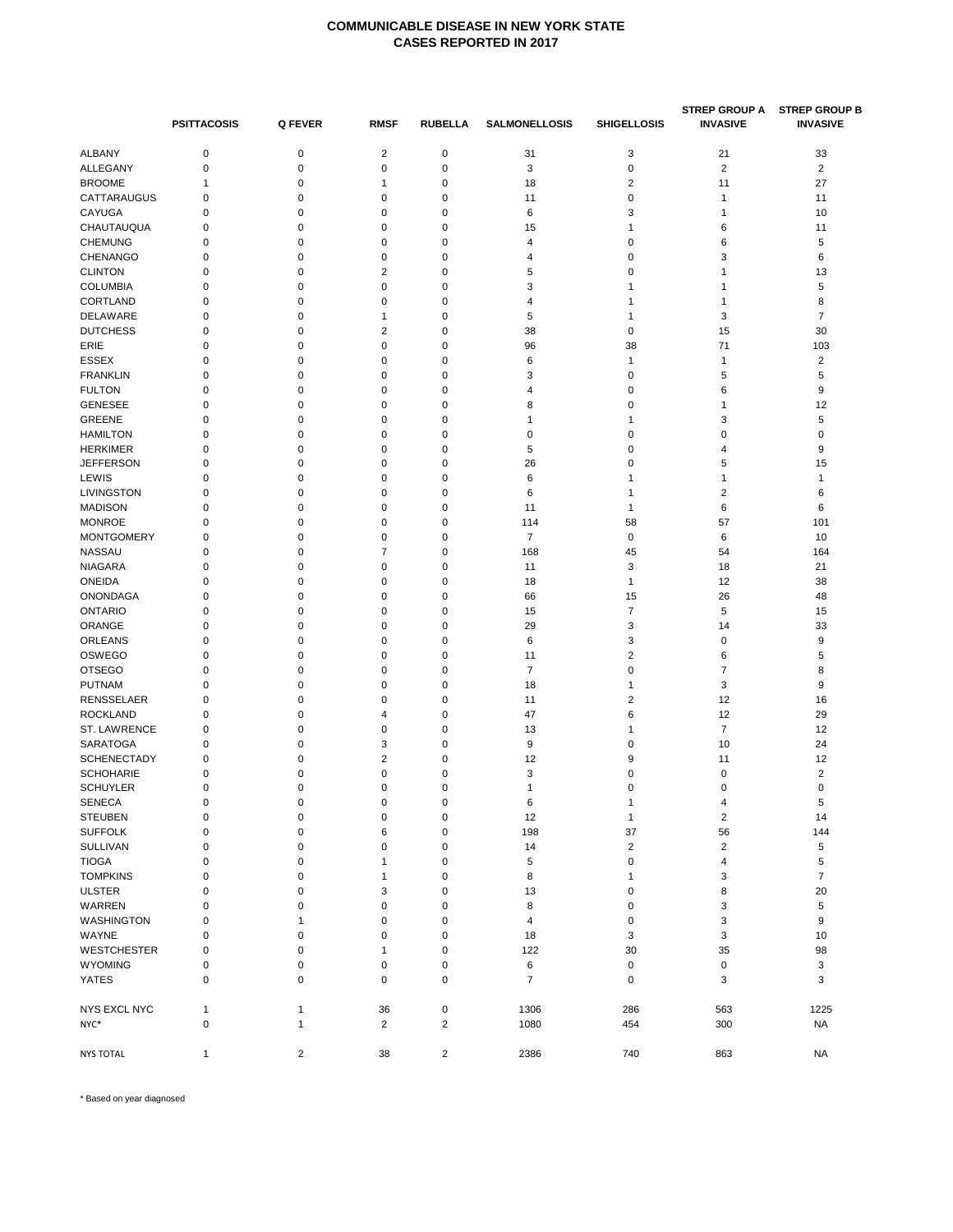|                                 | <b>PSITTACOSIS</b> | Q FEVER          | <b>RMSF</b>      | <b>RUBELLA</b> | <b>SALMONELLOSIS</b> | <b>SHIGELLOSIS</b>      | <b>STREP GROUP A</b><br><b>INVASIVE</b> | <b>STREP GROUP B</b><br><b>INVASIVE</b> |
|---------------------------------|--------------------|------------------|------------------|----------------|----------------------|-------------------------|-----------------------------------------|-----------------------------------------|
| <b>ALBANY</b>                   | $\mathbf 0$        | 0                | 2                | 0              | 31                   | 3                       | 21                                      | 33                                      |
| ALLEGANY                        | $\pmb{0}$          | $\pmb{0}$        | $\mathbf 0$      | 0              | 3                    | 0                       | $\sqrt{2}$                              | $\overline{2}$                          |
| <b>BROOME</b>                   | 1                  | 0                | $\mathbf{1}$     | 0              | 18                   | $\overline{2}$          | 11                                      | 27                                      |
| <b>CATTARAUGUS</b>              | $\mathbf 0$        | $\mathbf 0$      | $\mathbf 0$      | 0              | 11                   | 0                       | $\mathbf{1}$                            | 11                                      |
| CAYUGA                          | 0                  | 0                | 0                | 0              | 6                    | 3                       | 1                                       | 10                                      |
| CHAUTAUQUA                      | $\mathbf 0$        | $\mathbf 0$      | $\mathbf 0$      | 0              | 15                   | 1                       | 6                                       | 11                                      |
| <b>CHEMUNG</b>                  | $\mathbf 0$        | 0                | $\mathbf 0$      | 0              | 4                    | 0                       | 6                                       | 5                                       |
| CHENANGO                        | 0                  | 0                | $\mathbf 0$      | 0              | 4                    | 0                       | 3                                       | 6                                       |
| <b>CLINTON</b>                  | $\mathbf 0$        | $\mathbf 0$      | $\overline{2}$   | 0              | 5                    | 0                       | 1                                       | 13                                      |
| <b>COLUMBIA</b>                 | $\mathbf 0$        | $\mathbf 0$      | $\mathbf 0$      | 0              | 3                    | 1                       | $\mathbf{1}$                            | 5                                       |
| CORTLAND                        | 0                  | 0                | $\mathbf 0$      | 0              | 4                    | 1                       | 1                                       | 8                                       |
| DELAWARE                        | 0                  | 0                | $\mathbf{1}$     | 0              | 5                    | 1                       | 3                                       | $\overline{7}$                          |
| <b>DUTCHESS</b>                 | $\mathbf 0$        | $\mathbf 0$      | $\overline{2}$   | 0              | 38                   | 0                       | 15                                      | 30                                      |
|                                 |                    | 0                | $\mathbf 0$      |                |                      |                         | 71                                      |                                         |
| ERIE                            | 0<br>$\mathbf 0$   | $\mathbf 0$      | $\mathbf 0$      | 0              | 96                   | 38                      |                                         | 103                                     |
| <b>ESSEX</b>                    | $\mathbf 0$        | $\mathbf 0$      | $\mathbf 0$      | 0              | 6<br>3               | 1<br>0                  | 1<br>5                                  | $\overline{\mathbf{c}}$<br>5            |
| <b>FRANKLIN</b>                 |                    |                  |                  | 0              |                      |                         |                                         |                                         |
| <b>FULTON</b>                   | 0                  | 0                | 0                | 0              | 4                    | 0                       | 6                                       | 9                                       |
| <b>GENESEE</b>                  | 0                  | 0                | 0                | 0              | 8                    | 0                       | 1                                       | 12                                      |
| <b>GREENE</b>                   | $\mathbf 0$        | $\mathbf 0$      | $\mathbf 0$      | 0              | 1                    | 1                       | 3                                       | 5                                       |
| <b>HAMILTON</b>                 | 0                  | 0                | $\mathbf 0$      | 0              | 0                    | 0                       | 0                                       | $\pmb{0}$                               |
| <b>HERKIMER</b>                 | $\mathbf 0$        | $\mathbf 0$      | $\mathbf 0$      | 0              | 5                    | 0                       | 4                                       | 9                                       |
| <b>JEFFERSON</b>                | $\mathbf 0$        | $\mathbf 0$      | $\mathbf 0$      | 0              | 26                   | 0                       | 5                                       | 15                                      |
| LEWIS                           | $\mathbf 0$        | $\mathbf 0$      | $\mathbf 0$      | 0              | 6                    | 1                       | 1                                       | 1                                       |
| LIVINGSTON                      | 0                  | 0                | $\mathbf 0$      | 0              | 6                    | 1                       | $\overline{\mathbf{c}}$                 | 6                                       |
| <b>MADISON</b>                  | $\mathbf 0$        | $\mathbf 0$      | $\mathbf 0$      | 0              | 11                   | 1                       | 6                                       | 6                                       |
| <b>MONROE</b>                   | $\mathbf 0$        | 0                | $\mathbf 0$      | 0              | 114                  | 58                      | 57                                      | 101                                     |
| <b>MONTGOMERY</b>               | 0                  | 0                | $\mathbf 0$      | 0              | $\overline{7}$       | 0                       | 6                                       | 10                                      |
| <b>NASSAU</b>                   | $\mathbf 0$        | $\mathbf 0$      | $\overline{7}$   | 0              | 168                  | 45                      | 54                                      | 164                                     |
| <b>NIAGARA</b>                  | $\mathbf 0$        | 0                | $\mathbf 0$      | 0              | 11                   | 3                       | 18                                      | 21                                      |
| <b>ONEIDA</b>                   | 0                  | 0                | $\mathbf 0$      | 0              | 18                   | 1                       | 12                                      | 38                                      |
| <b>ONONDAGA</b>                 | $\mathbf 0$        | $\mathbf 0$      | $\mathbf 0$      | 0              | 66                   | 15                      | 26                                      | 48                                      |
| <b>ONTARIO</b>                  | $\mathbf 0$        | $\mathbf 0$      | $\mathbf 0$      | 0              | 15                   | $\overline{7}$          | 5                                       | 15                                      |
| ORANGE                          | 0                  | 0                | $\mathbf 0$      | 0              | 29                   | 3                       | 14                                      | 33                                      |
| ORLEANS                         | $\mathbf 0$        | $\mathbf 0$      | $\mathbf 0$      | 0              | 6                    | 3                       | 0                                       | 9                                       |
| OSWEGO                          | $\mathbf 0$        | 0                | $\mathbf 0$      | 0              | 11                   | $\overline{\mathbf{c}}$ | 6                                       | 5                                       |
| <b>OTSEGO</b>                   | 0                  | 0                | 0                | 0              | $\overline{7}$       | 0                       | 7                                       | 8                                       |
| <b>PUTNAM</b>                   | 0                  | 0                | $\mathbf 0$      | 0              | 18                   | 1                       | 3                                       | 9                                       |
| <b>RENSSELAER</b>               | 0                  | 0                | $\mathbf 0$      | 0              | 11                   | $\overline{\mathbf{c}}$ | 12                                      | 16                                      |
| <b>ROCKLAND</b>                 | 0                  | 0                | 4                | 0              | 47                   | 6                       | 12                                      | 29                                      |
| ST. LAWRENCE                    | $\mathbf 0$        | $\mathbf 0$      | $\mathbf 0$      | 0              | 13                   | 1                       | $\overline{7}$                          | 12                                      |
| <b>SARATOGA</b>                 | $\mathbf 0$        | $\mathbf 0$      | 3                | 0              | 9                    | 0                       | 10                                      | 24                                      |
| <b>SCHENECTADY</b>              | 0                  | $\mathbf 0$      | 2                | 0              | 12                   | 9                       | 11                                      | 12                                      |
| <b>SCHOHARIE</b>                | 0                  | 0                | 0                | 0              | 3                    | 0                       | 0                                       | $\overline{\mathbf{c}}$                 |
| <b>SCHUYLER</b>                 | $\mathbf 0$        | 0                | $\mathbf 0$      | 0              | $\mathbf{1}$         | 0                       | 0                                       | $\mathbf 0$                             |
|                                 |                    |                  |                  |                |                      |                         |                                         |                                         |
| <b>SENECA</b><br><b>STEUBEN</b> | 0<br>$\pmb{0}$     | 0<br>$\mathbf 0$ | 0<br>$\mathbf 0$ | 0<br>0         | 6<br>12              | 1<br>$\mathbf{1}$       | 4<br>$\overline{\mathbf{c}}$            | 5<br>14                                 |
| <b>SUFFOLK</b>                  | $\mathbf 0$        | $\mathbf 0$      | 6                | 0              |                      | 37                      |                                         | 144                                     |
|                                 |                    |                  |                  |                | 198                  |                         | 56                                      |                                         |
| <b>SULLIVAN</b>                 | 0                  | $\mathbf 0$      | $\pmb{0}$        | 0              | 14                   | $\overline{c}$          | $\overline{\mathbf{c}}$                 | 5                                       |
| <b>TIOGA</b>                    | $\mathbf 0$        | $\mathbf 0$      | $\mathbf{1}$     | 0              | 5                    | 0                       | 4                                       | 5                                       |
| <b>TOMPKINS</b>                 | $\mathbf 0$        | $\mathbf 0$      | $\mathbf{1}$     | 0              | 8                    | 1                       | 3                                       | $\overline{7}$                          |
| <b>ULSTER</b>                   | $\mathbf 0$        | $\mathbf 0$      | 3                | 0              | 13                   | 0                       | 8                                       | 20                                      |
| WARREN                          | $\mathbf 0$        | $\mathbf 0$      | $\mathsf 0$      | 0              | 8                    | 0                       | 3                                       | 5                                       |
| WASHINGTON                      | $\mathbf 0$        | $\mathbf{1}$     | $\mathbf 0$      | 0              | $\overline{4}$       | 0                       | 3                                       | 9                                       |
| WAYNE                           | $\mathbf 0$        | $\mathbf 0$      | $\mathbf 0$      | 0              | 18                   | 3                       | 3                                       | 10                                      |
| <b>WESTCHESTER</b>              | 0                  | 0                | $\mathbf{1}$     | $\mathbf 0$    | 122                  | 30                      | 35                                      | 98                                      |
| <b>WYOMING</b>                  | $\mathbf 0$        | $\mathbf 0$      | $\mathbf 0$      | 0              | 6                    | 0                       | $\mathbf 0$                             | 3                                       |
| <b>YATES</b>                    | $\mathbf 0$        | $\mathbf 0$      | 0                | 0              | $\overline{7}$       | 0                       | 3                                       | 3                                       |
| <b>NYS EXCL NYC</b>             | $\mathbf{1}$       | $\mathbf{1}$     | 36               | 0              | 1306                 | 286                     | 563                                     | 1225                                    |
| NYC*                            | $\pmb{0}$          | $\mathbf{1}$     | $\overline{2}$   | $\overline{2}$ | 1080                 | 454                     | 300                                     | <b>NA</b>                               |
|                                 |                    |                  |                  |                |                      |                         |                                         |                                         |
| <b>NYS TOTAL</b>                | $\mathbf{1}$       | $\overline{2}$   | 38               | $\overline{c}$ | 2386                 | 740                     | 863                                     | <b>NA</b>                               |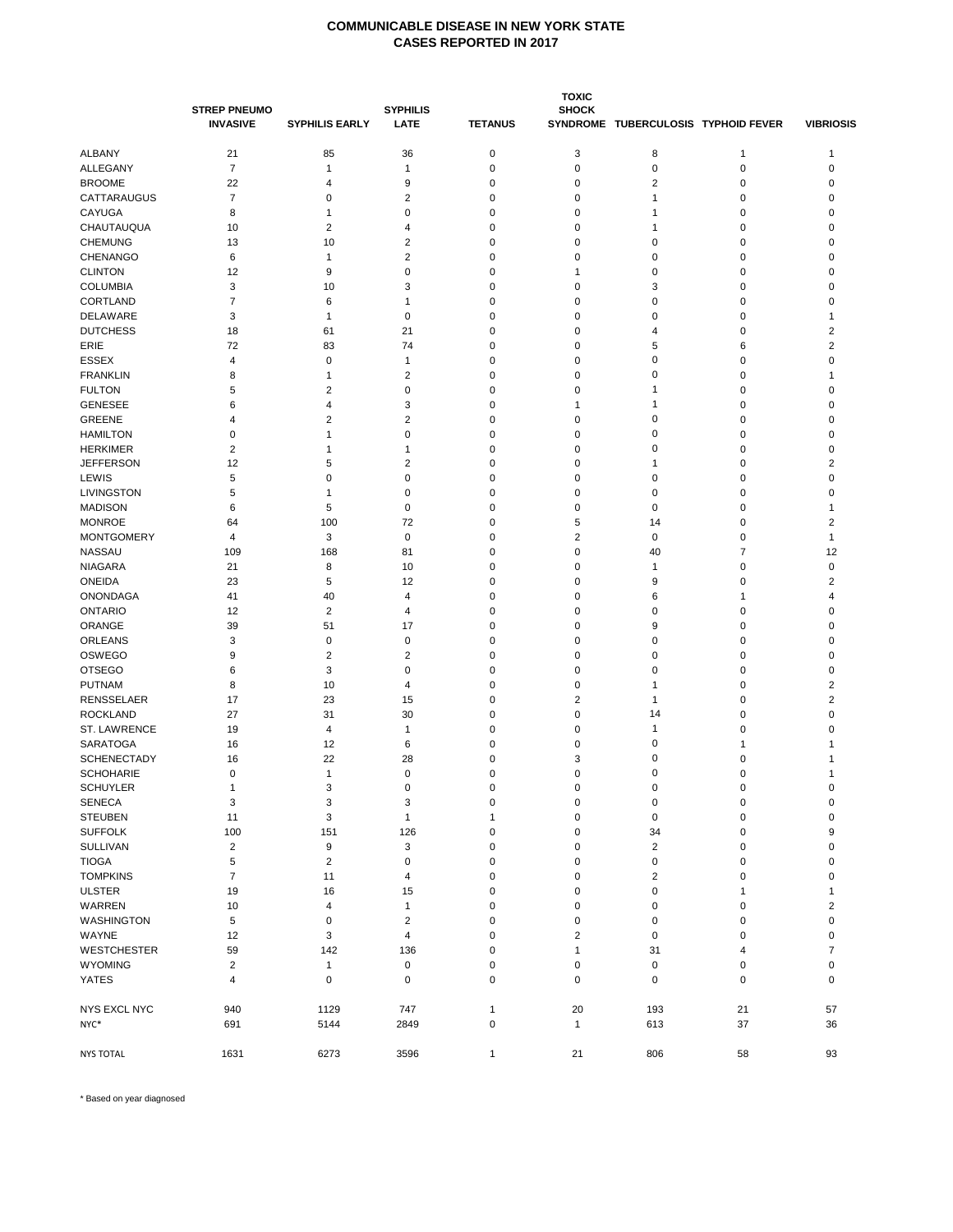|                    |                     |                         |                         |                |                         | <b>TOXIC</b>                        |             |                          |  |  |
|--------------------|---------------------|-------------------------|-------------------------|----------------|-------------------------|-------------------------------------|-------------|--------------------------|--|--|
|                    | <b>STREP PNEUMO</b> |                         | <b>SYPHILIS</b>         |                | <b>SHOCK</b>            |                                     |             |                          |  |  |
|                    | <b>INVASIVE</b>     | <b>SYPHILIS EARLY</b>   | <b>LATE</b>             | <b>TETANUS</b> |                         | SYNDROME TUBERCULOSIS TYPHOID FEVER |             | <b>VIBRIOSIS</b>         |  |  |
|                    |                     |                         |                         |                |                         |                                     |             |                          |  |  |
| ALBANY             | 21                  | 85                      | 36                      | $\pmb{0}$      | 3                       | 8                                   | 1           | 1                        |  |  |
| ALLEGANY           | $\overline{7}$      | 1                       | $\mathbf{1}$            | $\mathbf 0$    | 0                       | $\pmb{0}$                           | 0           | 0                        |  |  |
| <b>BROOME</b>      | 22                  | 4                       | 9                       | $\mathbf 0$    | 0                       | 2                                   | 0           | 0                        |  |  |
| CATTARAUGUS        | $\overline{7}$      | 0                       | $\overline{\mathbf{c}}$ | 0              | 0                       | $\mathbf{1}$                        | 0           | 0                        |  |  |
| CAYUGA             | 8                   | 1                       | 0                       | $\mathbf 0$    | 0                       | $\mathbf{1}$                        | 0           | 0                        |  |  |
| CHAUTAUQUA         | 10                  | 2                       | 4                       | $\mathbf 0$    | 0                       | 1                                   | 0           | 0                        |  |  |
| <b>CHEMUNG</b>     | 13                  | 10                      | $\overline{\mathbf{c}}$ | $\mathbf 0$    | 0                       | $\mathbf 0$                         | 0           | 0                        |  |  |
| <b>CHENANGO</b>    | 6                   | 1                       | $\overline{\mathbf{c}}$ | 0              | 0                       | 0                                   | 0           | 0                        |  |  |
| <b>CLINTON</b>     | 12                  | 9                       | 0                       | 0              | 1                       | 0                                   | 0           | 0                        |  |  |
| <b>COLUMBIA</b>    | 3                   | 10                      | 3                       | $\mathbf 0$    | 0                       | 3                                   | 0           | 0                        |  |  |
| CORTLAND           | $\overline{7}$      | 6                       | $\mathbf{1}$            | $\mathbf 0$    | 0                       | $\mathbf 0$                         | 0           | 0                        |  |  |
| DELAWARE           | 3                   | 1                       | 0                       | $\mathbf 0$    | 0                       | 0                                   | 0           | 1                        |  |  |
| <b>DUTCHESS</b>    | 18                  | 61                      | 21                      | $\mathbf 0$    | 0                       | 4                                   | 0           | 2                        |  |  |
|                    |                     |                         |                         |                |                         | 5                                   |             |                          |  |  |
| ERIE               | 72                  | 83                      | 74                      | $\mathbf 0$    | 0                       |                                     | 6           | 2                        |  |  |
| <b>ESSEX</b>       | 4                   | 0                       | 1                       | 0              | 0                       | $\mathbf 0$                         | 0           | 0                        |  |  |
| <b>FRANKLIN</b>    | 8                   | 1                       | $\overline{2}$          | $\mathbf 0$    | 0                       | $\mathbf 0$                         | 0           | 1                        |  |  |
| <b>FULTON</b>      | 5                   | 2                       | 0                       | $\mathbf 0$    | 0                       | $\mathbf{1}$                        | 0           | 0                        |  |  |
| <b>GENESEE</b>     | 6                   | 4                       | 3                       | 0              | 1                       | 1                                   | 0           | 0                        |  |  |
| <b>GREENE</b>      | 4                   | 2                       | $\overline{2}$          | $\mathbf 0$    | 0                       | $\mathbf 0$                         | 0           | 0                        |  |  |
| <b>HAMILTON</b>    | 0                   | 1                       | 0                       | 0              | 0                       | $\mathbf 0$                         | 0           | 0                        |  |  |
| <b>HERKIMER</b>    | 2                   | 1                       | 1                       | 0              | 0                       | 0                                   | 0           | 0                        |  |  |
| <b>JEFFERSON</b>   | 12                  | 5                       | $\overline{2}$          | $\mathbf 0$    | 0                       | $\mathbf{1}$                        | 0           | $\overline{\mathbf{c}}$  |  |  |
| LEWIS              | 5                   | 0                       | 0                       | $\mathbf 0$    | 0                       | $\mathbf 0$                         | 0           | 0                        |  |  |
| LIVINGSTON         | 5                   | 1                       | 0                       | $\mathbf 0$    | 0                       | $\mathbf 0$                         | 0           | 0                        |  |  |
| <b>MADISON</b>     | 6                   | 5                       | 0                       | $\mathbf 0$    | 0                       | $\mathbf 0$                         | 0           | 1                        |  |  |
| <b>MONROE</b>      | 64                  | 100                     | 72                      | $\mathbf 0$    | 5                       | 14                                  | 0           | 2                        |  |  |
| <b>MONTGOMERY</b>  |                     |                         |                         |                |                         |                                     |             |                          |  |  |
|                    | 4                   | 3                       | 0                       | $\mathbf 0$    | $\overline{\mathbf{c}}$ | 0                                   | 0           | 1                        |  |  |
| <b>NASSAU</b>      | 109                 | 168                     | 81                      | $\mathbf 0$    | 0                       | 40                                  | 7           | 12                       |  |  |
| <b>NIAGARA</b>     | 21                  | 8                       | 10                      | $\mathbf 0$    | 0                       | $\mathbf{1}$                        | 0           | $\mathbf 0$              |  |  |
| <b>ONEIDA</b>      | 23                  | 5                       | 12                      | $\mathbf 0$    | 0                       | 9                                   | 0           | 2                        |  |  |
| <b>ONONDAGA</b>    | 41                  | 40                      | 4                       | $\mathbf 0$    | 0                       | 6                                   | 1           | 4                        |  |  |
| <b>ONTARIO</b>     | 12                  | 2                       | 4                       | 0              | 0                       | $\mathbf 0$                         | 0           | 0                        |  |  |
| ORANGE             | 39                  | 51                      | 17                      | $\mathbf 0$    | 0                       | 9                                   | 0           | 0                        |  |  |
| ORLEANS            | 3                   | 0                       | 0                       | 0              | 0                       | 0                                   | 0           | 0                        |  |  |
| <b>OSWEGO</b>      | 9                   | $\overline{\mathbf{c}}$ | $\overline{\mathbf{c}}$ | 0              | 0                       | $\mathbf 0$                         | 0           | 0                        |  |  |
| <b>OTSEGO</b>      | 6                   | 3                       | 0                       | $\mathbf 0$    | 0                       | 0                                   | 0           | 0                        |  |  |
| <b>PUTNAM</b>      | 8                   | 10                      | 4                       | $\mathbf 0$    | 0                       | $\mathbf{1}$                        | 0           | 2                        |  |  |
| <b>RENSSELAER</b>  | 17                  | 23                      | 15                      | $\mathbf 0$    | $\overline{2}$          | $\mathbf{1}$                        | 0           | $\overline{2}$           |  |  |
| <b>ROCKLAND</b>    | 27                  | 31                      | 30                      | 0              | 0                       | 14                                  | 0           | 0                        |  |  |
| ST. LAWRENCE       | 19                  | 4                       | $\mathbf{1}$            | 0              | 0                       | $\mathbf{1}$                        | 0           | 0                        |  |  |
| <b>SARATOGA</b>    |                     | 12                      |                         | $\mathbf 0$    |                         | $\mathbf 0$                         |             |                          |  |  |
|                    | 16                  |                         | 6                       |                | 0                       |                                     | 1           | 1                        |  |  |
| <b>SCHENECTADY</b> | 16                  | 22                      | 28                      | 0              | 3                       | 0                                   | 0           |                          |  |  |
| <b>SCHOHARIE</b>   | 0                   | 1                       | $\mathbf 0$             | $\mathbf 0$    | 0                       | $\mathbf 0$                         | 0           | 1                        |  |  |
| <b>SCHUYLER</b>    |                     | 3                       | $\pmb{0}$               | $\pmb{0}$      | 0                       | 0                                   | 0           | 0                        |  |  |
| <b>SENECA</b>      | 3                   | 3                       | 3                       | $\pmb{0}$      | 0                       | 0                                   | $\pmb{0}$   | 0                        |  |  |
| <b>STEUBEN</b>     | 11                  | 3                       | $\mathbf{1}$            | $\mathbf{1}$   | $\pmb{0}$               | 0                                   | 0           | 0                        |  |  |
| <b>SUFFOLK</b>     | 100                 | 151                     | 126                     | $\pmb{0}$      | 0                       | 34                                  | 0           | 9                        |  |  |
| SULLIVAN           | $\mathbf 2$         | $\boldsymbol{9}$        | 3                       | $\pmb{0}$      | $\pmb{0}$               | $\overline{\mathbf{c}}$             | 0           | $\pmb{0}$                |  |  |
| <b>TIOGA</b>       | 5                   | 2                       | 0                       | 0              | $\pmb{0}$               | 0                                   | 0           | 0                        |  |  |
| <b>TOMPKINS</b>    | $\overline{7}$      | 11                      | 4                       | $\mathbf 0$    | $\mathbf 0$             | $\overline{\mathbf{c}}$             | 0           | 0                        |  |  |
| <b>ULSTER</b>      | 19                  | 16                      | 15                      | 0              | 0                       | 0                                   | 1           | 1                        |  |  |
| WARREN             | 10                  | 4                       | $\mathbf{1}$            | $\pmb{0}$      | $\pmb{0}$               | 0                                   | $\mathbf 0$ | $\overline{\mathbf{c}}$  |  |  |
| WASHINGTON         |                     |                         |                         |                |                         |                                     |             |                          |  |  |
|                    | 5                   | 0                       | 2                       | $\pmb{0}$      | 0                       | $\pmb{0}$                           | 0           | 0                        |  |  |
| WAYNE              | 12                  | 3                       | 4                       | 0              | $\mathbf 2$             | 0                                   | 0           | 0                        |  |  |
| <b>WESTCHESTER</b> | 59                  | 142                     | 136                     | $\pmb{0}$      | $\mathbf{1}$            | 31                                  | 4           | $\overline{\mathcal{I}}$ |  |  |
| <b>WYOMING</b>     | $\sqrt{2}$          | 1                       | $\pmb{0}$               | 0              | 0                       | 0                                   | 0           | 0                        |  |  |
| YATES              | $\overline{4}$      | 0                       | $\mathbf 0$             | $\mathbf 0$    | $\mathbf 0$             | 0                                   | 0           | $\mathbf 0$              |  |  |
| NYS EXCL NYC       | 940                 | 1129                    | 747                     | $\mathbf{1}$   | 20                      | 193                                 | 21          | 57                       |  |  |
| NYC*               | 691                 | 5144                    | 2849                    | $\pmb{0}$      | $\mathbf{1}$            | 613                                 | 37          | 36                       |  |  |
|                    |                     |                         |                         |                |                         |                                     |             |                          |  |  |
| <b>NYS TOTAL</b>   | 1631                | 6273                    | 3596                    | $\mathbf{1}$   | 21                      | 806                                 | 58          | 93                       |  |  |